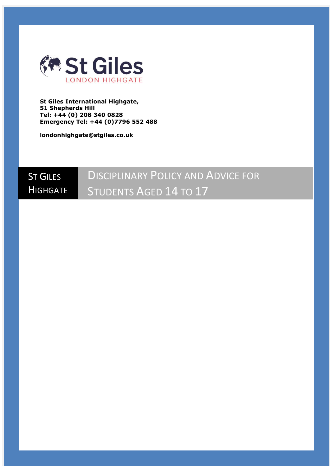

**St Giles International Highgate, 51 Shepherds Hill Tel: +44 (0) 208 340 0828 Emergency Tel: +44 (0)7796 552 488**

**londonhighgate@stgiles.co.uk**

# ST GILES **HIGHGATE DISCIPLINARY POLICY AND ADVICE FOR** STUDENTS AGED 14 TO 17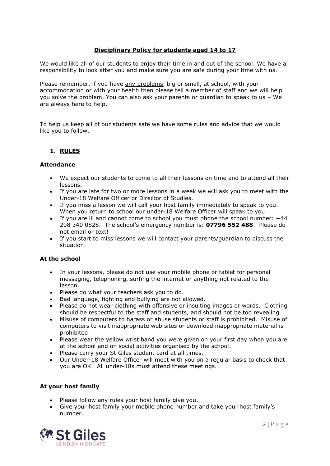# **Disciplinary Policy for students aged 14 to 17**

We would like all of our students to enjoy their time in and out of the school. We have a responsibility to look after you and make sure you are safe during your time with us.

Please remember, if you have any problems, big or small, at school, with your accommodation or with your health then please tell a member of staff and we will help you solve the problem. You can also ask your parents or guardian to speak to us – We are always here to help.

To help us keep all of our students safe we have some rules and advice that we would like you to follow.

# **1. RULES**

#### **Attendance**

- We expect our students to come to all their lessons on time and to attend all their lessons.
- If you are late for two or more lessons in a week we will ask you to meet with the Under-18 Welfare Officer or Director of Studies.
- If you miss a lesson we will call your host family immediately to speak to you. When you return to school our under-18 Welfare Officer will speak to you.
- If you are ill and cannot come to school you must phone the school number: +44 208 340 0828. The school's emergency number is: **07796 552 488**. Please do not email or text!
- If you start to miss lessons we will contact your parents/guardian to discuss the situation.

#### **At the school**

- In your lessons, please do not use your mobile phone or tablet for personal messaging, telephoning, surfing the internet or anything not related to the lesson.
- Please do what your teachers ask you to do.
- Bad language, fighting and bullying are not allowed.
- Please do not wear clothing with offensive or insulting images or words. Clothing should be respectful to the staff and students, and should not be too revealing
- Misuse of computers to harass or abuse students or staff is prohibited. Misuse of computers to visit inappropriate web sites or download inappropriate material is prohibited.
- Please wear the yellow wrist band you were given on your first day when you are at the school and on social activities organised by the school.
- Please carry your St Giles student card at all times.
- Our Under-18 Welfare Officer will meet with you on a regular basis to check that you are OK. All under-18s must attend these meetings.

#### **At your host family**

- Please follow any rules your host family give you.
- Give your host family your mobile phone number and take your host family's number.

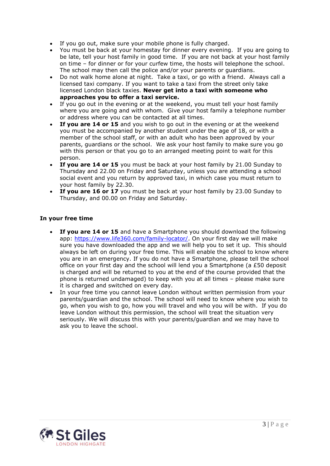- If you go out, make sure your mobile phone is fully charged.
- You must be back at your homestay for dinner every evening. If you are going to be late, tell your host family in good time. If you are not back at your host family on time – for dinner or for your curfew time, the hosts will telephone the school. The school may then call the police and/or your parents or guardians.
- Do not walk home alone at night. Take a taxi, or go with a friend. Always call a licensed taxi company. If you want to take a taxi from the street only take licensed London black taxies. **Never get into a taxi with someone who approaches you to offer a taxi service.**
- If you go out in the evening or at the weekend, you must tell your host family where you are going and with whom. Give your host family a telephone number or address where you can be contacted at all times.
- **If you are 14 or 15** and you wish to go out in the evening or at the weekend you must be accompanied by another student under the age of 18, or with a member of the school staff, or with an adult who has been approved by your parents, guardians or the school. We ask your host family to make sure you go with this person or that you go to an arranged meeting point to wait for this person.
- **If you are 14 or 15** you must be back at your host family by 21.00 Sunday to Thursday and 22.00 on Friday and Saturday, unless you are attending a school social event and you return by approved taxi, in which case you must return to your host family by 22.30.
- **If you are 16 or 17** you must be back at your host family by 23.00 Sunday to Thursday, and 00.00 on Friday and Saturday.

# **In your free time**

- **If you are 14 or 15** and have a Smartphone you should download the following app: [https://www.life360.com/family-locator/.](https://www.life360.com/family-locator/) On your first day we will make sure you have downloaded the app and we will help you to set it up. This should always be left on during your free time. This will enable the school to know where you are in an emergency. If you do not have a Smartphone, please tell the school office on your first day and the school will lend you a Smartphone (a £50 deposit is charged and will be returned to you at the end of the course provided that the phone is returned undamaged) to keep with you at all times – please make sure it is charged and switched on every day.
- In your free time you cannot leave London without written permission from your parents/guardian and the school. The school will need to know where you wish to go, when you wish to go, how you will travel and who you will be with. If you do leave London without this permission, the school will treat the situation very seriously. We will discuss this with your parents/guardian and we may have to ask you to leave the school.

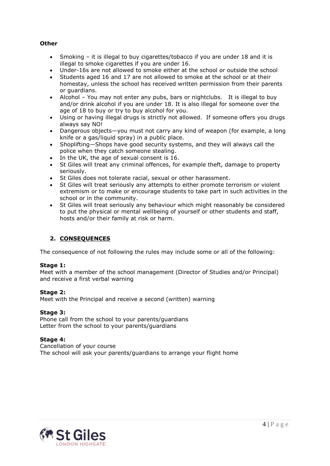## **Other**

- Smoking it is illegal to buy cigarettes/tobacco if you are under 18 and it is illegal to smoke cigarettes if you are under 16.
- Under-16s are not allowed to smoke either at the school or outside the school
- Students aged 16 and 17 are not allowed to smoke at the school or at their homestay, unless the school has received written permission from their parents or guardians.
- Alcohol You may not enter any pubs, bars or nightclubs. It is illegal to buy and/or drink alcohol if you are under 18. It is also illegal for someone over the age of 18 to buy or try to buy alcohol for you.
- Using or having illegal drugs is strictly not allowed. If someone offers you drugs always say NO!
- Dangerous objects—you must not carry any kind of weapon (for example, a long knife or a gas/liquid spray) in a public place.
- Shoplifting—Shops have good security systems, and they will always call the police when they catch someone stealing.
- In the UK, the age of sexual consent is 16.
- St Giles will treat any criminal offences, for example theft, damage to property seriously.
- St Giles does not tolerate racial, sexual or other harassment.
- St Giles will treat seriously any attempts to either promote terrorism or violent extremism or to make or encourage students to take part in such activities in the school or in the community.
- St Giles will treat seriously any behaviour which might reasonably be considered to put the physical or mental wellbeing of yourself or other students and staff, hosts and/or their family at risk or harm.

# **2. CONSEQUENCES**

The consequence of not following the rules may include some or all of the following:

#### **Stage 1:**

Meet with a member of the school management (Director of Studies and/or Principal) and receive a first verbal warning

#### **Stage 2:**

Meet with the Principal and receive a second (written) warning

#### **Stage 3:**

Phone call from the school to your parents/guardians Letter from the school to your parents/guardians

#### **Stage 4:**

Cancellation of your course The school will ask your parents/guardians to arrange your flight home